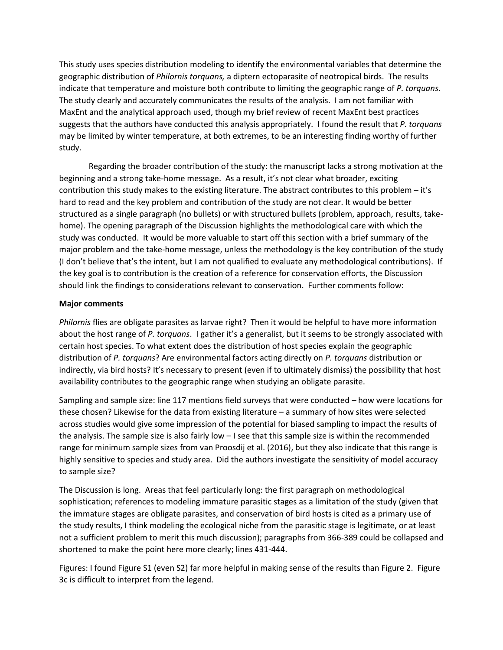This study uses species distribution modeling to identify the environmental variables that determine the geographic distribution of *Philornis torquans,* a diptern ectoparasite of neotropical birds. The results indicate that temperature and moisture both contribute to limiting the geographic range of *P. torquans*. The study clearly and accurately communicates the results of the analysis. I am not familiar with MaxEnt and the analytical approach used, though my brief review of recent MaxEnt best practices suggests that the authors have conducted this analysis appropriately. I found the result that *P. torquans*  may be limited by winter temperature, at both extremes, to be an interesting finding worthy of further study.

Regarding the broader contribution of the study: the manuscript lacks a strong motivation at the beginning and a strong take-home message. As a result, it's not clear what broader, exciting contribution this study makes to the existing literature. The abstract contributes to this problem – it's hard to read and the key problem and contribution of the study are not clear. It would be better structured as a single paragraph (no bullets) or with structured bullets (problem, approach, results, takehome). The opening paragraph of the Discussion highlights the methodological care with which the study was conducted. It would be more valuable to start off this section with a brief summary of the major problem and the take-home message, unless the methodology is the key contribution of the study (I don't believe that's the intent, but I am not qualified to evaluate any methodological contributions). If the key goal is to contribution is the creation of a reference for conservation efforts, the Discussion should link the findings to considerations relevant to conservation. Further comments follow:

## **Major comments**

*Philornis* flies are obligate parasites as larvae right? Then it would be helpful to have more information about the host range of *P. torquans*. I gather it's a generalist, but it seems to be strongly associated with certain host species. To what extent does the distribution of host species explain the geographic distribution of *P. torquans*? Are environmental factors acting directly on *P. torquans* distribution or indirectly, via bird hosts? It's necessary to present (even if to ultimately dismiss) the possibility that host availability contributes to the geographic range when studying an obligate parasite.

Sampling and sample size: line 117 mentions field surveys that were conducted – how were locations for these chosen? Likewise for the data from existing literature – a summary of how sites were selected across studies would give some impression of the potential for biased sampling to impact the results of the analysis. The sample size is also fairly low – I see that this sample size is within the recommended range for minimum sample sizes from van Proosdij et al. (2016), but they also indicate that this range is highly sensitive to species and study area. Did the authors investigate the sensitivity of model accuracy to sample size?

The Discussion is long. Areas that feel particularly long: the first paragraph on methodological sophistication; references to modeling immature parasitic stages as a limitation of the study (given that the immature stages are obligate parasites, and conservation of bird hosts is cited as a primary use of the study results, I think modeling the ecological niche from the parasitic stage is legitimate, or at least not a sufficient problem to merit this much discussion); paragraphs from 366-389 could be collapsed and shortened to make the point here more clearly; lines 431-444.

Figures: I found Figure S1 (even S2) far more helpful in making sense of the results than Figure 2. Figure 3c is difficult to interpret from the legend.